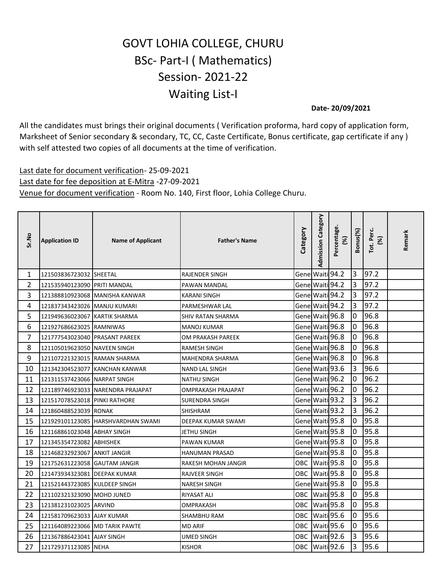## GOVT LOHIA COLLEGE, CHURU BSc- Part-I ( Mathematics) Session- 2021-22 Waiting List-I

**Date- 20/09/2021**

All the candidates must brings their original documents ( Verification proforma, hard copy of application form, Marksheet of Senior secondary & secondary, TC, CC, Caste Certificate, Bonus certificate, gap certificate if any ) with self attested two copies of all documents at the time of verification.

Last date for document verification- 25-09-2021 Last date for fee deposition at E-Mitra -27-09-2021 Venue for document verification - Room No. 140, First floor, Lohia College Churu.

| Sr.No          | <b>Application ID</b>          | <b>Name of Applicant</b>           | <b>Father's Name</b>     | Category        | <b>Admission Category</b> | Percentage.<br>(%) | Bonus(%)       | Tot. Perc.<br>(%) | Remark |
|----------------|--------------------------------|------------------------------------|--------------------------|-----------------|---------------------------|--------------------|----------------|-------------------|--------|
| $\mathbf{1}$   | 121503836723032 SHEETAL        |                                    | <b>RAJENDER SINGH</b>    | Gene Waiti 94.2 |                           |                    | $\overline{3}$ | 97.2              |        |
| $\overline{2}$ | 121535940123090 PRITI MANDAL   |                                    | PAWAN MANDAL             | Gene Waiti 94.2 |                           |                    | 3              | 97.2              |        |
| 3              | 121388810923068                | MANISHA KANWAR                     | <b>KARANI SINGH</b>      | Gene Waiti 94.2 |                           |                    | 3              | 97.2              |        |
| 4              | 121837343423026 MANJU KUMARI   |                                    | PARMESHWAR LAL           | Gene Waiti 94.2 |                           |                    | 3              | 97.2              |        |
| 5              | 121949636023067                | <b>KARTIK SHARMA</b>               | <b>SHIV RATAN SHARMA</b> | Gene Waiti 96.8 |                           |                    | $\overline{0}$ | 96.8              |        |
| 6              | 121927686623025 RAMNIWAS       |                                    | <b>MANOJ KUMAR</b>       | Gene Waiti 96.8 |                           |                    | 0              | 96.8              |        |
| $\overline{7}$ | 121777543023040 PRASANT PAREEK |                                    | OM PRAKASH PAREEK        | Gene Waiti 96.8 |                           |                    | $\overline{0}$ | 96.8              |        |
| 8              | 121105019623050 NAVEEN SINGH   |                                    | <b>RAMESH SINGH</b>      | Gene Waiti 96.8 |                           |                    | 0              | 96.8              |        |
| 9              | 121107221323015 RAMAN SHARMA   |                                    | MAHENDRA SHARMA          | Gene Waiti 96.8 |                           |                    | 0              | 96.8              |        |
| 10             | 121342304523077                | <b>KANCHAN KANWAR</b>              | <b>NAND LAL SINGH</b>    | Gene Waiti 93.6 |                           |                    | 3              | 96.6              |        |
| 11             | 121311537423066 NARPAT SINGH   |                                    | <b>NATHU SINGH</b>       | Gene Waiti 96.2 |                           |                    | $\overline{0}$ | 96.2              |        |
| 12             |                                | 121189746923033 NARENDRA PRAJAPAT  | OMPRAKASH PRAJAPAT       | Gene Waiti 96.2 |                           |                    | $\overline{0}$ | 96.2              |        |
| 13             | 121517078523018 PINKI RATHORE  |                                    | <b>SURENDRA SINGH</b>    | Gene Waiti 93.2 |                           |                    | 3              | 96.2              |        |
| 14             | 121860488523039 RONAK          |                                    | <b>SHISHRAM</b>          | Gene Waiti 93.2 |                           |                    | 3              | 96.2              |        |
| 15             |                                | 121929101123085 HARSHVARDHAN SWAMI | DEEPAK KUMAR SWAMI       | Gene Waiti 95.8 |                           |                    | 0              | 95.8              |        |
| 16             | 121168861023048 ABHAY SINGH    |                                    | JETHU SINGH              | Gene Waiti 95.8 |                           |                    | 0              | 95.8              |        |
| 17             | 121345354723082                | <b>ABHISHEK</b>                    | PAWAN KUMAR              | Gene Waiti 95.8 |                           |                    | $\overline{0}$ | 95.8              |        |
| 18             | 121468232923067 ANKIT JANGIR   |                                    | <b>HANUMAN PRASAD</b>    | Gene Waiti 95.8 |                           |                    | $\pmb{0}$      | 95.8              |        |
| 19             | 121752631223058 GAUTAM JANGIR  |                                    | RAKESH MOHAN JANGIR      | OBC             | Waiti 95.8                |                    | $\mathbf 0$    | 95.8              |        |
| 20             | 121473934323081 DEEPAK KUMAR   |                                    | <b>RAJVEER SINGH</b>     | ОВС             | Waiti 95.8                |                    | 0              | 95.8              |        |
| 21             | 121521443723085 KULDEEP SINGH  |                                    | <b>NARESH SINGH</b>      | Gene Waiti 95.8 |                           |                    | $\overline{0}$ | 95.8              |        |
| 22             | 121102321323090 MOHD JUNED     |                                    | RIYASAT ALI              | OBC             | Waiti 95.8                |                    | 0              | 95.8              |        |
| 23             | 121381231023025 ARVIND         |                                    | OMPRAKASH                | OBC             | Waiti 95.8                |                    | 0              | 95.8              |        |
| 24             | 121581709623033 AJAY KUMAR     |                                    | SHAMBHU RAM              | OBC             | Waiti 95.6                |                    | 0              | 95.6              |        |
| 25             | 121164089223066 MD TARIK PAWTE |                                    | <b>MD ARIF</b>           | OBC             | Waiti 95.6                |                    | $\mathbf 0$    | 95.6              |        |
| 26             | 121367886423041 AJAY SINGH     |                                    | <b>UMED SINGH</b>        | OBC             | Waiti 92.6                |                    | 3              | 95.6              |        |
| 27             | 121729371123085 NEHA           |                                    | <b>KISHOR</b>            | OBC             | Waiti 92.6                |                    | 3              | 95.6              |        |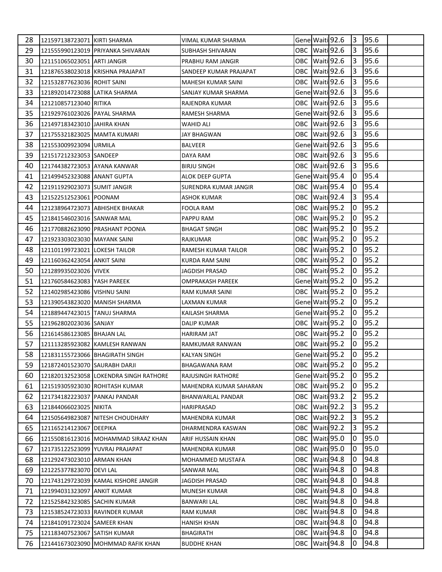| 28 | 121597138723071 KIRTI SHARMA    |                                        | VIMAL KUMAR SHARMA       |     | Gene Waiti 92.6 | 3   | 95.6 |  |
|----|---------------------------------|----------------------------------------|--------------------------|-----|-----------------|-----|------|--|
| 29 |                                 | 121555990123019 PRIYANKA SHIVARAN      | SUBHASH SHIVARAN         |     | OBC Waiti 92.6  | 3   | 95.6 |  |
| 30 | 121151065023051 ARTI JANGIR     |                                        | PRABHU RAM JANGIR        |     | OBC Waiti 92.6  | 3   | 95.6 |  |
| 31 |                                 | 121876538023018 KRISHNA PRAJAPAT       | SANDEEP KUMAR PRAJAPAT   |     | OBC Waiti 92.6  | 3   | 95.6 |  |
| 32 | 121532877623036 ROHIT SAINI     |                                        | MAHESH KUMAR SAINI       |     | OBC Waiti 92.6  | 3   | 95.6 |  |
| 33 | 121892014723088 LATIKA SHARMA   |                                        | SANJAY KUMAR SHARMA      |     | Gene Waiti 92.6 | 3   | 95.6 |  |
| 34 | 121210857123040 RITIKA          |                                        | RAJENDRA KUMAR           |     | OBC Waiti 92.6  | 3   | 95.6 |  |
| 35 | 121929761023026 PAYAL SHARMA    |                                        | RAMESH SHARMA            |     | Gene Waiti 92.6 | 3   | 95.6 |  |
| 36 | 121497183423010 JAHIRA KHAN     |                                        | WAHID ALI                |     | OBC Waiti 92.6  | 3   | 95.6 |  |
| 37 | 121755321823025 MAMTA KUMARI    |                                        | JAY BHAGWAN              |     | OBC Waiti 92.6  | 13  | 95.6 |  |
| 38 | 121553009923094 URMILA          |                                        | <b>BALVEER</b>           |     | Gene Waiti 92.6 | 3   | 95.6 |  |
| 39 | 121517212323053 SANDEEP         |                                        | DAYA RAM                 |     | OBC Waiti 92.6  | 3   | 95.6 |  |
| 40 | 121744382723053 AYANA KANWAR    |                                        | BIRJU SINGH              |     | OBC Waiti 92.6  | 3   | 95.6 |  |
| 41 | 121499452323088 ANANT GUPTA     |                                        | ALOK DEEP GUPTA          |     | Gene Waiti 95.4 | 10  | 95.4 |  |
| 42 | 121911929023073 SUMIT JANGIR    |                                        | SURENDRA KUMAR JANGIR    |     | OBC Waiti 95.4  | 10  | 95.4 |  |
| 43 | 121522512523061 POONAM          |                                        | ASHOK KUMAR              |     | OBC Waiti 92.4  | 13  | 95.4 |  |
| 44 | 121238964723073 ABHISHEK BHAKAR |                                        | FOOLA RAM                |     | OBC Waiti 95.2  | 10  | 95.2 |  |
| 45 | 121841546023016 SANWAR MAL      |                                        | PAPPU RAM                |     | OBC Waiti 95.2  | 0   | 95.2 |  |
| 46 |                                 | 121770882623090 PRASHANT POONIA        | BHAGAT SINGH             |     | OBC Waiti 95.2  | 10  | 95.2 |  |
| 47 | 121923303023030   MAYANK SAINI  |                                        | RAJKUMAR                 |     | OBC Waiti 95.2  | 10  | 95.2 |  |
| 48 | 121101199723021 LOKESH TAILOR   |                                        | RAMESH KUMAR TAILOR      |     | OBC Waiti 95.2  | 10  | 95.2 |  |
| 49 | 121160362423054 ANKIT SAINI     |                                        | KURDA RAM SAINI          |     | OBC Waiti 95.2  | 10  | 95.2 |  |
| 50 | 121289935023026 VIVEK           |                                        | JAGDISH PRASAD           |     | OBC Waiti 95.2  | 0   | 95.2 |  |
| 51 | 121760584623083 YASH PAREEK     |                                        | OMPRAKASH PAREEK         |     | Gene Waiti 95.2 | l0  | 95.2 |  |
| 52 | 121402985423086 VISHNU SAINI    |                                        | RAM KUMAR SAINI          |     | OBC Waiti 95.2  | 10  | 95.2 |  |
| 53 | 121390543823020 MANISH SHARMA   |                                        | LAXMAN KUMAR             |     | Gene Waiti 95.2 | 10  | 95.2 |  |
| 54 | 121889447423015 TANUJ SHARMA    |                                        | KAILASH SHARMA           |     | Gene Waiti 95.2 | 10  | 95.2 |  |
| 55 | 121962802023036 SANJAY          |                                        | <b>DALIP KUMAR</b>       |     | OBC Waiti 95.2  | 0   | 95.2 |  |
| 56 | 121614586123085 BHAJAN LAL      |                                        | HARIRAM JAT              |     | OBC Waiti 95.2  | 10  | 95.2 |  |
| 57 |                                 | 121113285923082 KAMLESH RANWAN         | RAMKUMAR RANWAN          |     | OBC Waiti 95.2  | 0   | 95.2 |  |
| 58 | 121831155723066 BHAGIRATH SINGH |                                        | <b>KALYAN SINGH</b>      |     | Gene Waiti 95.2 | Iо  | 95.2 |  |
| 59 | 121872401523070 SAURABH DARJI   |                                        | BHAGAWANA RAM            |     | OBC Waiti 95.2  | 10. | 95.2 |  |
| 60 |                                 | 121820132523058 LOKENDRA SINGH RATHORE | RAJUSINGH RATHORE        |     | Gene Waiti 95.2 | 0   | 95.2 |  |
| 61 | 121519305923030 ROHITASH KUMAR  |                                        | MAHENDRA KUMAR SAHARAN   |     | OBC Waiti 95.2  | 10  | 95.2 |  |
| 62 | 121734182223037 PANKAJ PANDAR   |                                        | <b>BHANWARLAL PANDAR</b> |     | OBC Waiti 93.2  | 2   | 95.2 |  |
| 63 | 121844066023025 NIKITA          |                                        | HARIPRASAD               |     | OBC Waiti 92.2  | 3   | 95.2 |  |
| 64 |                                 | 121505649823087 NITESH CHOUDHARY       | MAHENDRA KUMAR           |     | OBC Waiti 92.2  | 3   | 95.2 |  |
| 65 | 121165214123067 DEEPIKA         |                                        | DHARMENDRA KASWAN        |     | OBC Waiti 92.2  | 3   | 95.2 |  |
| 66 |                                 | 121550816123016 MOHAMMAD SIRAAZ KHAN   | ARIF HUSSAIN KHAN        | OBC | Waiti 95.0      | 10  | 95.0 |  |
| 67 | 121735122523099 YUVRAJ PRAJAPAT |                                        | MAHENDRA KUMAR           | OBC | Waiti 95.0      | 0   | 95.0 |  |
| 68 | 121292473023010 ARMAN KHAN      |                                        | MOHAMMED MUSTAFA         |     | OBC Waiti 94.8  | 0   | 94.8 |  |
| 69 | 121225377823070 DEVI LAL        |                                        | SANWAR MAL               |     | OBC Waiti 94.8  | 0   | 94.8 |  |
| 70 |                                 | 121743129723039 KAMAL KISHORE JANGIR   | JAGDISH PRASAD           |     | OBC Waiti 94.8  | 0   | 94.8 |  |
| 71 | 121994031323097 ANKIT KUMAR     |                                        | MUNESH KUMAR             |     | OBC Waiti 94.8  | 0   | 94.8 |  |
| 72 | 121525842323085 SACHIN KUMAR    |                                        | <b>BANWARI LAL</b>       | OBC | Waiti 94.8      | 0   | 94.8 |  |
| 73 | 121538524723033 RAVINDER KUMAR  |                                        | RAM KUMAR                | OBC | Waiti 94.8      | 0   | 94.8 |  |
| 74 | 121841091723024 SAMEER KHAN     |                                        | <b>HANISH KHAN</b>       |     | OBC Waiti 94.8  | 0   | 94.8 |  |
| 75 | 121183407523067 SATISH KUMAR    |                                        | BHAGIRATH                | OBC | Waiti 94.8      | 0   | 94.8 |  |
| 76 |                                 | 121441673023090 MOHMMAD RAFIK KHAN     | <b>BUDDHE KHAN</b>       |     | OBC Waiti 94.8  | 0   | 94.8 |  |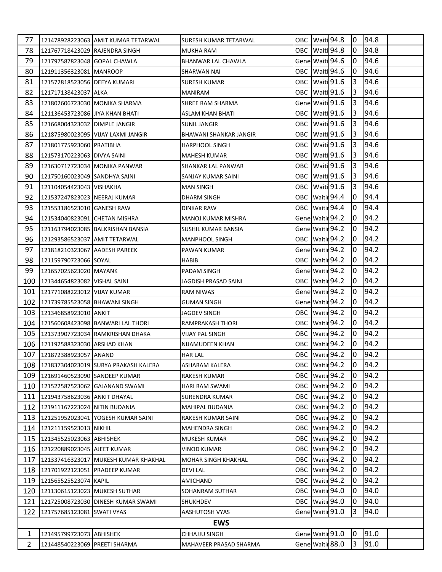| 77             |                                  | 121478928223063 AMIT KUMAR TETARWAL  | SURESH KUMAR TETARWAL     |  | OBC Waiti 94.8    |                | $ 0 $ 94.8 |  |
|----------------|----------------------------------|--------------------------------------|---------------------------|--|-------------------|----------------|------------|--|
| 78             | 121767718423029 RAJENDRA SINGH   |                                      | MUKHA RAM                 |  | OBC Waiti 94.8    | 10             | 94.8       |  |
| 79             | 121797587823048 GOPAL CHAWLA     |                                      | BHANWAR LAL CHAWLA        |  | Genel Waiti 94.6  | 10             | 94.6       |  |
| 80             | 121911356323081 MANROOP          |                                      | SHARWAN NAI               |  | OBC Waiti 94.6    | 0              | 94.6       |  |
| 81             | 121572818523056 DEEYA KUMARI     |                                      | SURESH KUMAR              |  | OBC Waiti 91.6    | $\overline{3}$ | 94.6       |  |
| 82             | 121717138423037 ALKA             |                                      | <b>MANIRAM</b>            |  | OBC Waiti 91.6    | 3              | 94.6       |  |
| 83             | 121802606723030 MONIKA SHARMA    |                                      | SHREE RAM SHARMA          |  | Gene Waiti 91.6   | 3              | 94.6       |  |
| 84             | 121136453723086 JJIYA KHAN BHATI |                                      | ASLAM KHAN BHATI          |  | OBC Waiti 91.6    | 3              | 94.6       |  |
| 85             | 121668004323032 DIMPLE JANGIR    |                                      | <b>SUNIL JANGIR</b>       |  | OBC Waiti 91.6    | 3              | 94.6       |  |
| 86             |                                  | 121875980023095 VIJAY LAXMI JANGIR   | BHAWANI SHANKAR JANGIR    |  | OBC Waiti 91.6    | 3              | 94.6       |  |
| 87             | 121801775923060 PRATIBHA         |                                      | <b>HARPHOOL SINGH</b>     |  | OBC Waiti 91.6    | 3              | 94.6       |  |
| 88             | 121573170223063 DIVYA SAINI      |                                      | MAHESH KUMAR              |  | OBC Waiti 91.6    | 13             | 94.6       |  |
| 89             | 121630717723034 MONIKA PANWAR    |                                      | SHANKAR LAL PANWAR        |  | OBC Waiti 91.6    | 3              | 94.6       |  |
| 90             | 121750160023049 SANDHYA SAINI    |                                      | SANJAY KUMAR SAINI        |  | OBC Waiti 91.6    | $\overline{3}$ | 94.6       |  |
| 91             | 121104054423043 VISHAKHA         |                                      | MAN SINGH                 |  | OBC Waiti 91.6    | 3              | 94.6       |  |
| 92             | 121537247823023 NEERAJ KUMAR     |                                      | DHARM SINGH               |  | OBC Waitir 94.4   | 0              | 94.4       |  |
| 93             | 121553186523010 GANESH RAW       |                                      | <b>DINKAR RAW</b>         |  | OBC Waitir 94.4   | 10             | 94.4       |  |
| 94             | 121534040823091 CHETAN MISHRA    |                                      | <b>MANOJ KUMAR MISHRA</b> |  | Gene Waitir 94.2  | 0              | 94.2       |  |
| 95             |                                  | 121163794023085 BALKRISHAN BANSIA    | SUSHIL KUMAR BANSIA       |  | Gene Waitir 94.2  | 10             | 94.2       |  |
| 96             | 121293586523037   AMIT TETARWAL  |                                      | <b>MANPHOOL SINGH</b>     |  | OBC Waitir 94.2   | 10             | 94.2       |  |
| 97             | 121818210323067 AADESH PAREEK    |                                      | PAWAN KUMAR               |  | Gene Waitir 94.2  | 10             | 94.2       |  |
| 98             | 121159790723066 SOYAL            |                                      | <b>HABIB</b>              |  | OBC Waitir 94.2   | 10             | 94.2       |  |
| 99             | 121657025623020 MAYANK           |                                      | PADAM SINGH               |  | Gene Waitir 94.2  | 0              | 94.2       |  |
| 100            | 121344654823082 VISHAL SAINI     |                                      | JAGDISH PRASAD SAINI      |  | OBC Waitir 94.2   | 10             | 94.2       |  |
| 101            | 121771088223012 VIJAY KUMAR      |                                      | RAM NIWAS                 |  | Gene Waitir 94.2  | 0              | 94.2       |  |
| 102            | 121739785523058 BHAWANI SINGH    |                                      | <b>GUMAN SINGH</b>        |  | Gene Waitir 94.2  | 10.            | 94.2       |  |
| 103            | 121346858923010 ANKIT            |                                      | JAGDEV SINGH              |  | OBC   Waitir 94.2 | 10             | 94.2       |  |
| 104            |                                  | 121560608423098 BANWARI LAL THORI    | <b>RAMPRAKASH THORI</b>   |  | OBC Waitir 94.2   | 10.            | 94.2       |  |
| 105            |                                  | 121373907723034 RAMKRISHAN DHAKA     | VIJAY PAL SINGH           |  | OBC Waitir 94.2   | 10             | 94.2       |  |
| 106            | 121192588323030 ARSHAD KHAN      |                                      | NIJAMUDEEN KHAN           |  | OBC Waitir 94.2   | 0              | 94.2       |  |
|                | 107 121872388923057 ANAND        |                                      | <b>HAR LAL</b>            |  | OBC Waitir 94.2   | l0             | 94.2       |  |
| 108            |                                  | 121837304023019 SURYA PRAKASH KALERA | ASHARAM KALERA            |  | OBC Waitir 94.2   | 10             | 94.2       |  |
| 109            | 121691460523090 SANDEEP KUMAR    |                                      | RAKESH KUMAR              |  | OBC Waitir 94.2   | 0              | 94.2       |  |
| 110            |                                  | 121522587523062 GAJANAND SWAMI       | HARI RAM SWAMI            |  | OBC Waitir 94.2   | 10.            | 94.2       |  |
| 111            | 121943758623036 ANKIT DHAYAL     |                                      | SURENDRA KUMAR            |  | OBC Waitir 94.2   | 0              | 94.2       |  |
| 112            | 121911167223024 NITIN BUDANIA    |                                      | <b>MAHIPAL BUDANIA</b>    |  | OBC Waitir 94.2   | 0              | 94.2       |  |
| 113            |                                  | 121251952023041 YOGESH KUMAR SAINI   | RAKESH KUMAR SAINI        |  | OBC Waitir 94.2   | 0              | 94.2       |  |
| 114            | 121211159523013 NIKHIL           |                                      | MAHENDRA SINGH            |  | OBC Waitir 94.2   | 0              | 94.2       |  |
| 115            | 121345525023063 ABHISHEK         |                                      | MUKESH KUMAR              |  | OBC Waitir 94.2   | 0              | 94.2       |  |
| 116            | 121220889023045 AJEET KUMAR      |                                      | <b>VINOD KUMAR</b>        |  | OBC Waitir 94.2   | 10             | 94.2       |  |
| 117            |                                  | 121337416323017 MUKESH KUMAR KHAKHAL | MOHAR SINGH KHAKHAL       |  | OBC Waitir 94.2   | 0              | 94.2       |  |
| 118            | 121701922123051 PRADEEP KUMAR    |                                      | <b>DEVILAL</b>            |  | OBC Waitir 94.2   | 0              | 94.2       |  |
| 119            | 121565525523074 KAPIL            |                                      | AMICHAND                  |  | OBC Waitir 94.2   | 0              | 94.2       |  |
| 120            | 121130615123023 MUKESH SUTHAR    |                                      | SOHANRAM SUTHAR           |  | OBC Waitir 94.0   | 0              | 94.0       |  |
| 121            |                                  | 121725008723030 DINESH KUMAR SWAMI   | SHUKHDEV                  |  | OBC Waitir 94.0   | 0              | 94.0       |  |
| 122            | 121757685123081 SWATI VYAS       |                                      | AASHUTOSH VYAS            |  | Gene Waitir 91.0  | 3              | 94.0       |  |
|                |                                  |                                      | <b>EWS</b>                |  |                   |                |            |  |
| 1              | 121495799723073 ABHISHEK         |                                      | CHHAJJU SINGH             |  | Gene Waitir 91.0  | 10.            | 91.0       |  |
| $\overline{2}$ | 121448540223069 PREETI SHARMA    |                                      | MAHAVEER PRASAD SHARMA    |  | Gene Waitir 88.0  | $\overline{3}$ | 91.0       |  |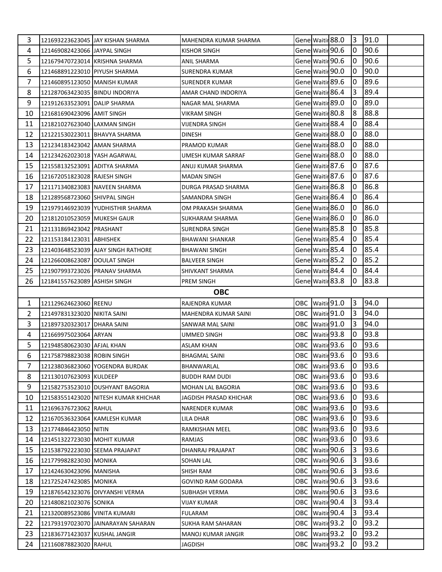| 3              |                                                        | 121693223623045 JAY KISHAN SHARMA    | MAHENDRA KUMAR SHARMA    |                  | Gene Waitir 88.0               | 3              | 91.0         |  |
|----------------|--------------------------------------------------------|--------------------------------------|--------------------------|------------------|--------------------------------|----------------|--------------|--|
| 4              | 121469082423066 JAYPAL SINGH                           |                                      | <b>KISHOR SINGH</b>      |                  | Gene Waitir 90.6               | 0              | 90.6         |  |
| 5              | 121679470723014 KRISHNA SHARMA                         |                                      | ANIL SHARMA              |                  | Gene Waitir 90.6               | 0              | 90.6         |  |
| 6              | 121468891223010 PIYUSH SHARMA                          |                                      | <b>SURENDRA KUMAR</b>    | Gene Waitir 90.0 |                                | 0              | 90.0         |  |
| $\overline{7}$ | 121460895123050 MANISH KUMAR                           |                                      | <b>SURENDER KUMAR</b>    |                  | Gene Waitir 89.6               | l0             | 89.6         |  |
| 8              | 121287063423035 BINDU INDORIYA                         |                                      | AMAR CHAND INDORIYA      |                  | Gene Waitir 86.4               | 3              | 89.4         |  |
| 9              | 121912633523091 DALIP SHARMA                           |                                      | NAGAR MAL SHARMA         | Gene Waitir 89.0 |                                | 0              | 89.0         |  |
| 10             | 121681690423096 AMIT SINGH                             |                                      | VIKRAM SINGH             |                  | Gene Waitir 80.8               | 8              | 88.8         |  |
| 11             | 121821027623040 LAXMAN SINGH                           |                                      | VIJENDRA SINGH           |                  | Gene Waitir 88.4               | 0              | 88.4         |  |
| 12             | 121221530223011 BHAVYA SHARMA                          |                                      | <b>DINESH</b>            | Gene Waitir 88.0 |                                | 0              | 88.0         |  |
| 13             | 121234183423042 AMAN SHARMA                            |                                      | PRAMOD KUMAR             | Gene Waitir 88.0 |                                | 0              | 88.0         |  |
| 14             | 121234262023018 YASH AGARWAL                           |                                      | UMESH KUMAR SARRAF       | Gene Waitir 88.0 |                                | 0              | 88.0         |  |
| 15             | 121558132523091 ADITYA SHARMA                          |                                      | ANUJ KUMAR SHARMA        | Gene Waitir 87.6 |                                | 10             | 87.6         |  |
| 16             | 121672051823028 RAJESH SINGH                           |                                      | <b>MADAN SINGH</b>       | Gene Waitir 87.6 |                                | 0              | 87.6         |  |
| 17             | 121171340823083 NAVEEN SHARMA                          |                                      | DURGA PRASAD SHARMA      |                  | Gene Waitir 86.8               | 0              | 86.8         |  |
| 18             | 121289568723060 SHIVPAL SINGH                          |                                      | SAMANDRA SINGH           |                  | Gene Waitir 86.4               | 10             | 86.4         |  |
| 19             |                                                        | 121979146923039 YUDHISTHIR SHARMA    | OM PRAKASH SHARMA        | Gene Waitir 86.0 |                                | 10             | 86.0         |  |
| 20             | 121812010523059 MUKESH GAUR                            |                                      | SUKHARAM SHARMA          | Gene Waitir 86.0 |                                | 0              | 86.0         |  |
| 21             | 121131869423042 PRASHANT                               |                                      | <b>SURENDRA SINGH</b>    |                  | Gene Waitir 85.8               | 0              | 85.8         |  |
| 22             | 121153184123031 ABHISHEK                               |                                      | BHAWANI SHANKAR          |                  | Gene Waitir 85.4               | 0              | 85.4         |  |
| 23             |                                                        | 121403648523039 AJAY SINGH RATHORE   | <b>BHAWANI SINGH</b>     |                  | Gene Waitir 85.4               | 0              | 85.4         |  |
| 24             | 121266008623087   DOULAT SINGH                         |                                      | <b>BALVEER SINGH</b>     |                  | Gene Waitir 85.2               | 0              | 85.2         |  |
| 25             | 121907993723026 PRANAV SHARMA                          |                                      | SHIVKANT SHARMA          |                  | Gene Waitir 84.4               | 0              | 84.4         |  |
| 26             | 121841557623089 ASHISH SINGH                           |                                      | <b>PREM SINGH</b>        |                  | Gene Waitir 83.8               | 0              | 83.8         |  |
|                |                                                        |                                      |                          |                  |                                |                |              |  |
|                |                                                        |                                      | <b>OBC</b>               |                  |                                |                |              |  |
| $\mathbf{1}$   | 121129624623060 REENU                                  |                                      | RAJENDRA KUMAR           |                  | OBC Waitir 91.0                | 13             | 94.0         |  |
| $\overline{2}$ | 121497831323020 NIKITA SAINI                           |                                      | MAHENDRA KUMAR SAINI     |                  | OBC Waitir 91.0                | 3              | 94.0         |  |
| 3              | 121897320323017 DHARA SAINI                            |                                      | SANWAR MAL SAINI         |                  | OBC Waitir 91.0                | 3              | 94.0         |  |
| 4              | 121669975023064 ARYAN                                  |                                      | <b>UMMED SINGH</b>       |                  | OBC Waitir 93.8                | l0             | 93.8         |  |
| 5              | 121948580623030 AFJAL KHAN                             |                                      | <b>ASLAM KHAN</b>        |                  | OBC Waitir 93.6                | 0              | 93.6         |  |
| 6              | 121758798823038 ROBIN SINGH                            |                                      | <b>BHAGMAL SAINI</b>     | OBC Waitir 93.6  |                                | 0              | 93.6         |  |
| 7              |                                                        | 121238036823060 YOGENDRA BURDAK      | BHANWARLAL               | OBC Waitir 93.6  |                                | 10.            | 93.6         |  |
| 8              | 121130107623093 KULDEEP                                |                                      | <b>BUDDH RAM DUDI</b>    | OBC Waitir 93.6  |                                | 0              | 93.6         |  |
| 9              |                                                        | 121582753523010 DUSHYANT BAGORIA     | <b>MOHAN LAL BAGORIA</b> | OBC              | Waitir 93.6                    | 10             | 93.6         |  |
| 10             |                                                        | 121583551423020 NITESH KUMAR KHICHAR | JAGDISH PRASAD KHICHAR   | OBC              | Waitir 93.6                    | 0              | 93.6         |  |
| 11             | 121696376723062 RAHUL                                  |                                      | NARENDER KUMAR           | OBC              | Waitir 93.6                    | 0              | 93.6         |  |
| 12             | 121670536323064 KAMLESH KUMAR                          |                                      | LILA DHAR                | OBC              | Waitir 93.6                    | 0              | 93.6         |  |
| 13             | 121774846423050 NITIN                                  |                                      | RAMKISHAN MEEL           | OBC Waitir 93.6  |                                | 0              | 93.6         |  |
| 14             | 121451322723030 MOHIT KUMAR                            |                                      | RAMJAS                   | OBC              | Waitir 93.6                    | 10             | 93.6         |  |
| 15             | 121538792223030 SEEMA PRAJAPAT                         |                                      | DHANRAJ PRAJAPAT         | OBC              | Waitir 90.6                    | 3              | 93.6         |  |
| 16             | 121779982823030 MONIKA                                 |                                      | SOHAN LAL                | OBC              | Waitir 90.6                    | 3              | 93.6         |  |
| 17             | 121424630423096 MANISHA                                |                                      | <b>SHISH RAM</b>         | OBC              | Waitir 90.6                    | 3              | 93.6         |  |
| 18             | 121725247423085 MONIKA                                 |                                      | <b>GOVIND RAM GODARA</b> | OBC              | Waitir 90.6                    | 3              | 93.6         |  |
| 19             |                                                        | 121876542323076 DIVYANSHI VERMA      | <b>SUBHASH VERMA</b>     | OBC              | Waitir 90.6                    | 3              | 93.6         |  |
| 20             | 121480821023076 SONIKA                                 |                                      | <b>VIJAY KUMAR</b>       |                  | OBC Waitir 90.4                | $\overline{3}$ | 93.4         |  |
| 21             | 121320089523086 VINITA KUMARI                          |                                      | FULARAM                  | OBC              | Waitir 90.4                    | 3              | 93.4         |  |
| 22             |                                                        | 121793197023070 JJAINARAYAN SAHARAN  | <b>SUKHA RAM SAHARAN</b> | OBC              | Waitir <sub>93.2</sub>         | 10             | 93.2         |  |
| 23<br>24       | 121836771423037 KUSHAL JANGIR<br>121160878823020 RAHUL |                                      | MANOJ KUMAR JANGIR       | OBC              | Waitir 93.2<br>OBC Waitir 93.2 | 0<br>0         | 93.2<br>93.2 |  |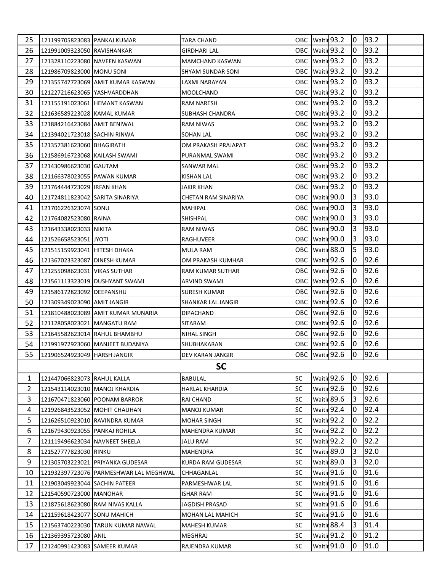| 25             | 121199705823083 PANKAJ KUMAR    |                                        | TARA CHAND             |           | OBC Waitir 93.2   | 10             | 93.2 |  |
|----------------|---------------------------------|----------------------------------------|------------------------|-----------|-------------------|----------------|------|--|
| 26             | 121991009323050 RAVISHANKAR     |                                        | GIRDHARI LAL           |           | OBC Waitir 93.2   | 10             | 93.2 |  |
| 27             | 121328110223080 NAVEEN KASWAN   |                                        | <b>MAMCHAND KASWAN</b> |           | OBC Waitir 93.2   | 10             | 93.2 |  |
| 28             | 121986709823000 MONU SONI       |                                        | SHYAM SUNDAR SONI      |           | OBC Waitir 93.2   | $\overline{0}$ | 93.2 |  |
| 29             |                                 | 121355747723069 AMIT KUMAR KASWAN      | LAXMI NARAYAN          |           | OBC Waitir 93.2   | 10             | 93.2 |  |
| 30             | 121227216623065 YASHVARDDHAN    |                                        | MOOLCHAND              |           | OBC Waitir 93.2   | 10             | 93.2 |  |
| 31             | 121155191023061 HEMANT KASWAN   |                                        | RAM NARESH             |           | OBC Waitir 93.2   | 10             | 93.2 |  |
| 32             | 121636589223028 KAMAL KUMAR     |                                        | SUBHASH CHANDRA        |           | OBC Waitir 93.2   | 10             | 93.2 |  |
| 33             | 121884216423084 AMIT BENIWAL    |                                        | RAM NIWAS              |           | OBC Waitir 93.2   | 10.            | 93.2 |  |
| 34             | 121394021723018 SACHIN RINWA    |                                        | SOHAN LAL              |           | OBC Waitir 93.2   | 0              | 93.2 |  |
| 35             | 121357381623060 BHAGIRATH       |                                        | OM PRAKASH PRAJAPAT    |           | OBC Waitir 93.2   | 0              | 93.2 |  |
| 36             | 121586916723068 KAILASH SWAMI   |                                        | PURANMAL SWAMI         |           | OBC Waitir 93.2   | 10             | 93.2 |  |
| 37             | 121430986623030 GAUTAM          |                                        | SANWAR MAL             |           | OBC   Waitir 93.2 | 0              | 93.2 |  |
| 38             | 121166378023055 PAWAN KUMAR     |                                        | <b>KISHAN LAL</b>      |           | OBC Waitir 93.2   | 10             | 93.2 |  |
| 39             | 121764444723029 IRFAN KHAN      |                                        | JAKIR KHAN             |           | OBC Waitir 93.2   | 0              | 93.2 |  |
| 40             | 121724811823042 SARITA SINARIYA |                                        | CHETAN RAM SINARIYA    |           | OBC Waitir 90.0   | 3              | 93.0 |  |
| 41             | 121706226323074 SONU            |                                        | <b>MAHIPAL</b>         |           | OBC   Waitir 90.0 | 13             | 93.0 |  |
| 42             | 121764082523080 RAINA           |                                        | SHISHPAL               |           | OBC Waitir 90.0   | 3              | 93.0 |  |
| 43             | 121643338023033 NIKITA          |                                        | <b>RAM NIWAS</b>       |           | OBC Waitir 90.0   | 3              | 93.0 |  |
| 44             | 121526658523051 JYOTI           |                                        | RAGHUVEER              |           | OBC Waitir 90.0   | 3              | 93.0 |  |
| 45             | 121515159923041 HITESH DHAKA    |                                        | MULA RAM               |           | OBC Waitir 88.0   | 5              | 93.0 |  |
| 46             | 121367023323087 DINESH KUMAR    |                                        | OM PRAKASH KUMHAR      |           | OBC Waitir 92.6   | 10.            | 92.6 |  |
| 47             | 121255098623031 VIKAS SUTHAR    |                                        | RAM KUMAR SUTHAR       |           | OBC Waitir 92.6   | 0              | 92.6 |  |
| 48             |                                 | 121561113323019   DUSHYANT SWAMI       | ARVIND SWAMI           |           | OBC Waitir 92.6   | 0              | 92.6 |  |
| 49             | 121586172823092 DEEPANSHU       |                                        | SURESH KUMAR           |           | OBC Waitir 92.6   | 0              | 92.6 |  |
| 50             | 121309349023090 AMIT JANGIR     |                                        | SHANKAR LAL JANGIR     |           | OBC Waitir 92.6   | 10.            | 92.6 |  |
| 51             |                                 | 121810488023089 AMIT KUMAR MUNARIA     | DIPACHAND              |           | OBC Waitir 92.6   | 10.            | 92.6 |  |
| 52             | 121128058023021 MANGATU RAM     |                                        | SITARAM                |           | OBC Waitir 92.6   | 10             | 92.6 |  |
| 53             | 121645582623014 RAHUL BHAMBHU   |                                        | <b>NIHAL SINGH</b>     |           | OBC Waitir 92.6   | 10             | 92.6 |  |
| 54             |                                 | 121991972923060 MANJEET BUDANIYA       | SHUBHAKARAN            |           | OBC Waitir 92.6   | 0              | 92.6 |  |
| 55             | 121906524923049 HARSH JANGIR    |                                        | DEV KARAN JANGIR       |           | OBC Waitir 92.6   | Iо             | 92.6 |  |
|                |                                 |                                        | <b>SC</b>              |           |                   |                |      |  |
| 1              | 121447066823073 RAHUL KALLA     |                                        | BABULAL                | SC        | Waitir 92.6       | 10             | 92.6 |  |
| $\overline{2}$ | 121543114023010 MANOJ KHARDIA   |                                        | <b>HARLAL KHARDIA</b>  | SC        | Waitir 92.6       | 0              | 92.6 |  |
| 3              |                                 | 121670471823060 POONAM BARROR          | RAI CHAND              | SC        | Waitir 89.6       | 3              | 92.6 |  |
| 4              | 121926843523052 MOHIT CHAUHAN   |                                        | <b>MANOJ KUMAR</b>     | SC        | Waitir 92.4       | 0              | 92.4 |  |
| 5              |                                 | 121626510923010 RAVINDRA KUMAR         | <b>MOHAR SINGH</b>     | SC        | Waitir 92.2       | 10             | 92.2 |  |
| 6              | 121679430923055 PANKAJ ROHILA   |                                        | MAHENDRA KUMAR         | SC        | Waitir 92.2       | 0              | 92.2 |  |
| 7              | 121119496623034 NAVNEET SHEELA  |                                        | <b>JALU RAM</b>        | <b>SC</b> | Waitir 92.2       | 0              | 92.2 |  |
| 8              | 121527777823030 RINKU           |                                        | MAHENDRA               | SC        | Waitir 89.0       | 3              | 92.0 |  |
| 9              |                                 | 121305703223021 PRIYANKA GUDESAR       | KURDA RAM GUDESAR      | SC        | Waitir 89.0       | 3              | 92.0 |  |
| 10             |                                 | 121932397723076 PARMESHWAR LAL MEGHWAL | CHHAGANLAL             | SC        | Waitir 91.6       | 0              | 91.6 |  |
| 11             | 121903049923044 SACHIN PATEER   |                                        | PARMESHWAR LAL         | SC        | Waitir 91.6       | $\overline{0}$ | 91.6 |  |
| 12             | 121540590723000 MANOHAR         |                                        | ISHAR RAM              | SC        | Waitir 91.6       | 0              | 91.6 |  |
| 13             | 121875618623080 RAM NIVAS KALLA |                                        | JAGDISH PRASAD         | SC        | Waitir 91.6       | 0              | 91.6 |  |
| 14             | 121159618423077 SONU MAHICH     |                                        | MOHAN LAL MAHICH       | SC        | Waitir 91.6       | 10             | 91.6 |  |
| 15             |                                 | 121563740223030 TARUN KUMAR NAWAL      | MAHESH KUMAR           | SC        | Waitir 88.4       | 3              | 91.4 |  |
| 16             | 121369395723080 ANIL            |                                        | MEGHRAJ                | SC        | Waitir 91.2       | 0              | 91.2 |  |
| 17             | 121240991423083 SAMEER KUMAR    |                                        | RAJENDRA KUMAR         | SC        | Waitir 91.0       | 0              | 91.0 |  |